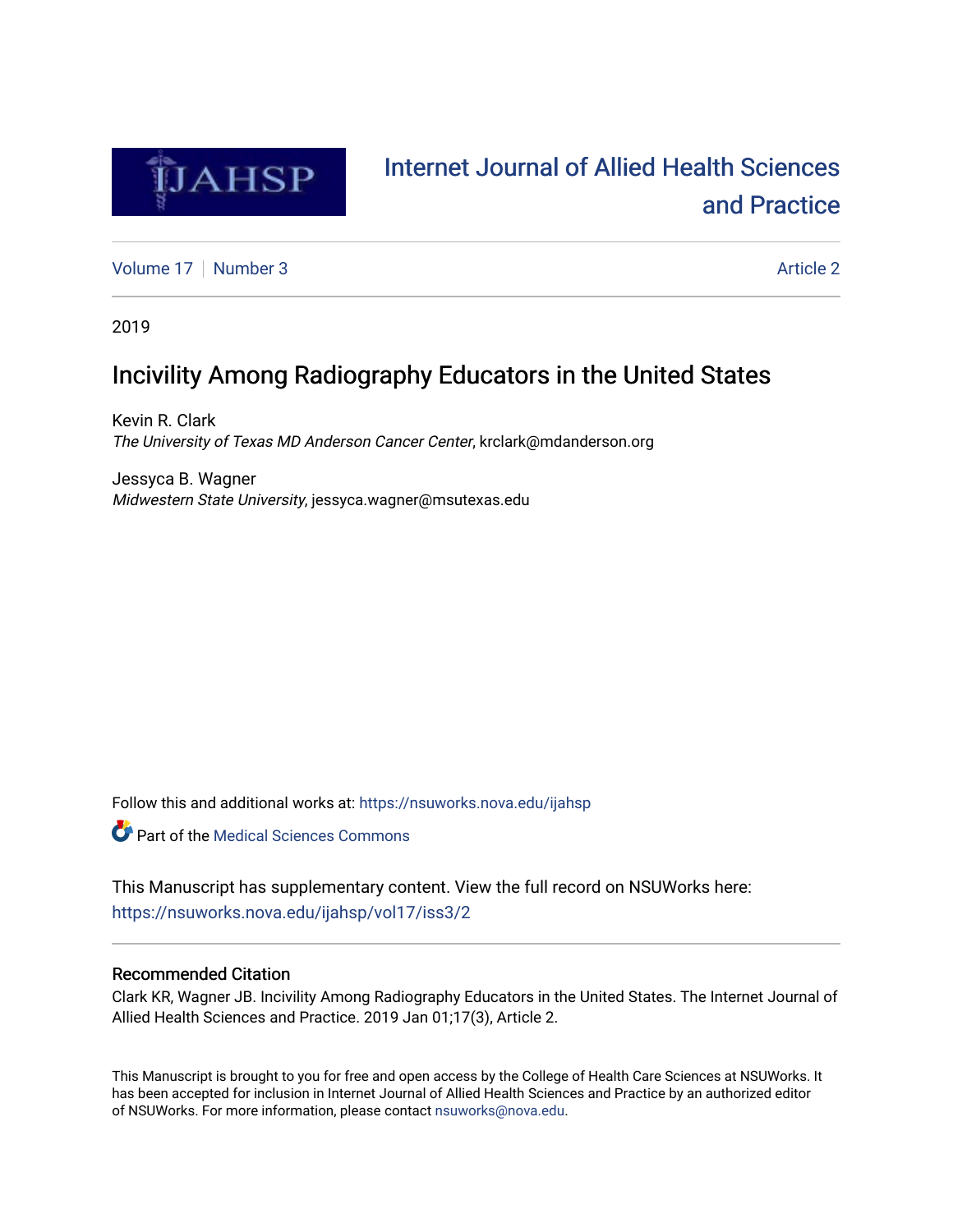

# [Internet Journal of Allied Health Sciences](https://nsuworks.nova.edu/ijahsp)  [and Practice](https://nsuworks.nova.edu/ijahsp)

[Volume 17](https://nsuworks.nova.edu/ijahsp/vol17) | [Number 3](https://nsuworks.nova.edu/ijahsp/vol17/iss3) Article 2

2019

# Incivility Among Radiography Educators in the United States

Kevin R. Clark The University of Texas MD Anderson Cancer Center, krclark@mdanderson.org

Jessyca B. Wagner Midwestern State University, jessyca.wagner@msutexas.edu

Follow this and additional works at: [https://nsuworks.nova.edu/ijahsp](https://nsuworks.nova.edu/ijahsp?utm_source=nsuworks.nova.edu%2Fijahsp%2Fvol17%2Fiss3%2F2&utm_medium=PDF&utm_campaign=PDFCoverPages) 

**C** Part of the Medical Sciences Commons

This Manuscript has supplementary content. View the full record on NSUWorks here: <https://nsuworks.nova.edu/ijahsp/vol17/iss3/2>

## Recommended Citation

Clark KR, Wagner JB. Incivility Among Radiography Educators in the United States. The Internet Journal of Allied Health Sciences and Practice. 2019 Jan 01;17(3), Article 2.

This Manuscript is brought to you for free and open access by the College of Health Care Sciences at NSUWorks. It has been accepted for inclusion in Internet Journal of Allied Health Sciences and Practice by an authorized editor of NSUWorks. For more information, please contact [nsuworks@nova.edu.](mailto:nsuworks@nova.edu)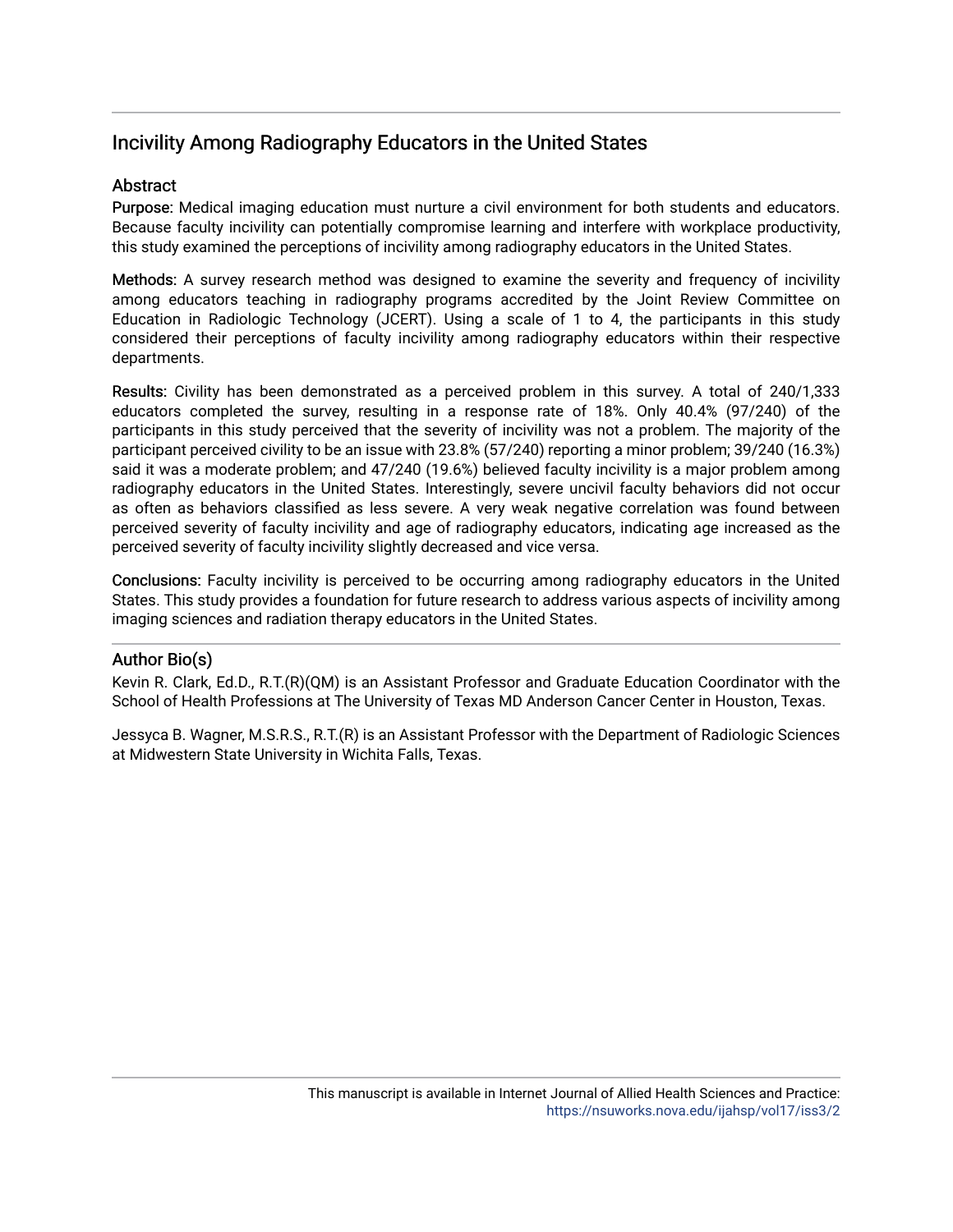## Incivility Among Radiography Educators in the United States

## **Abstract**

Purpose: Medical imaging education must nurture a civil environment for both students and educators. Because faculty incivility can potentially compromise learning and interfere with workplace productivity, this study examined the perceptions of incivility among radiography educators in the United States.

Methods: A survey research method was designed to examine the severity and frequency of incivility among educators teaching in radiography programs accredited by the Joint Review Committee on Education in Radiologic Technology (JCERT). Using a scale of 1 to 4, the participants in this study considered their perceptions of faculty incivility among radiography educators within their respective departments.

Results: Civility has been demonstrated as a perceived problem in this survey. A total of 240/1,333 educators completed the survey, resulting in a response rate of 18%. Only 40.4% (97/240) of the participants in this study perceived that the severity of incivility was not a problem. The majority of the participant perceived civility to be an issue with 23.8% (57/240) reporting a minor problem; 39/240 (16.3%) said it was a moderate problem; and 47/240 (19.6%) believed faculty incivility is a major problem among radiography educators in the United States. Interestingly, severe uncivil faculty behaviors did not occur as often as behaviors classified as less severe. A very weak negative correlation was found between perceived severity of faculty incivility and age of radiography educators, indicating age increased as the perceived severity of faculty incivility slightly decreased and vice versa.

Conclusions: Faculty incivility is perceived to be occurring among radiography educators in the United States. This study provides a foundation for future research to address various aspects of incivility among imaging sciences and radiation therapy educators in the United States.

## Author Bio(s)

Kevin R. Clark, Ed.D., R.T.(R)(QM) is an Assistant Professor and Graduate Education Coordinator with the School of Health Professions at The University of Texas MD Anderson Cancer Center in Houston, Texas.

Jessyca B. Wagner, M.S.R.S., R.T.(R) is an Assistant Professor with the Department of Radiologic Sciences at Midwestern State University in Wichita Falls, Texas.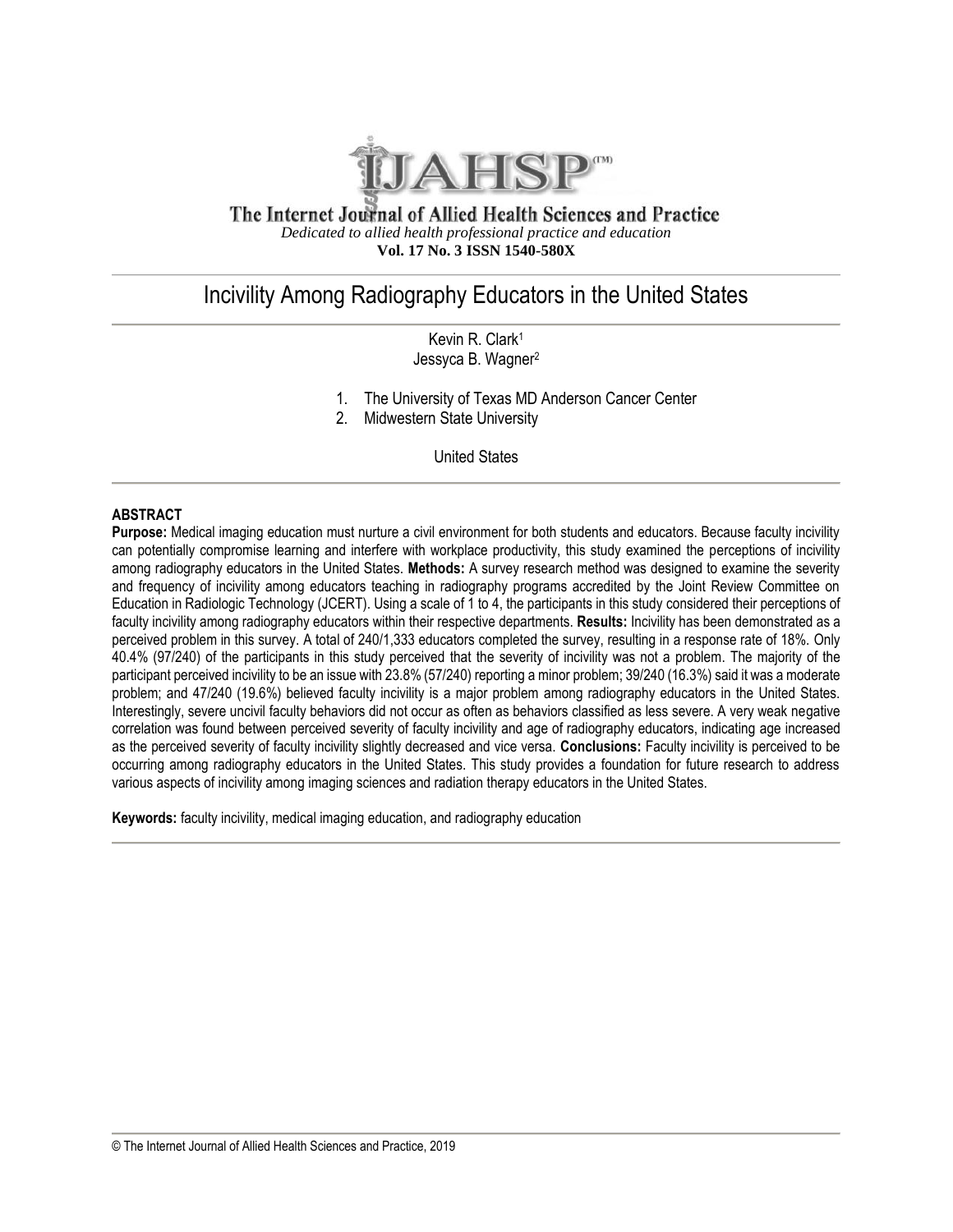

#### The Internet Journal of Allied Health Sciences and Practice *Dedicated to allied health professional practice and education* **Vol. 17 No. 3 ISSN 1540-580X**

## Incivility Among Radiography Educators in the United States

Kevin R. Clark<sup>1</sup> Jessyca B. Wagner<sup>2</sup>

- 1. The University of Texas MD Anderson Cancer Center
- 2. Midwestern State University

United States

## **ABSTRACT**

**Purpose:** Medical imaging education must nurture a civil environment for both students and educators. Because faculty incivility can potentially compromise learning and interfere with workplace productivity, this study examined the perceptions of incivility among radiography educators in the United States. **Methods:** A survey research method was designed to examine the severity and frequency of incivility among educators teaching in radiography programs accredited by the Joint Review Committee on Education in Radiologic Technology (JCERT). Using a scale of 1 to 4, the participants in this study considered their perceptions of faculty incivility among radiography educators within their respective departments. **Results:** Incivility has been demonstrated as a perceived problem in this survey. A total of 240/1,333 educators completed the survey, resulting in a response rate of 18%. Only 40.4% (97/240) of the participants in this study perceived that the severity of incivility was not a problem. The majority of the participant perceived incivility to be an issue with 23.8% (57/240) reporting a minor problem; 39/240 (16.3%) said it was a moderate problem; and 47/240 (19.6%) believed faculty incivility is a major problem among radiography educators in the United States. Interestingly, severe uncivil faculty behaviors did not occur as often as behaviors classified as less severe. A very weak negative correlation was found between perceived severity of faculty incivility and age of radiography educators, indicating age increased as the perceived severity of faculty incivility slightly decreased and vice versa. **Conclusions:** Faculty incivility is perceived to be occurring among radiography educators in the United States. This study provides a foundation for future research to address various aspects of incivility among imaging sciences and radiation therapy educators in the United States.

**Keywords:** faculty incivility, medical imaging education, and radiography education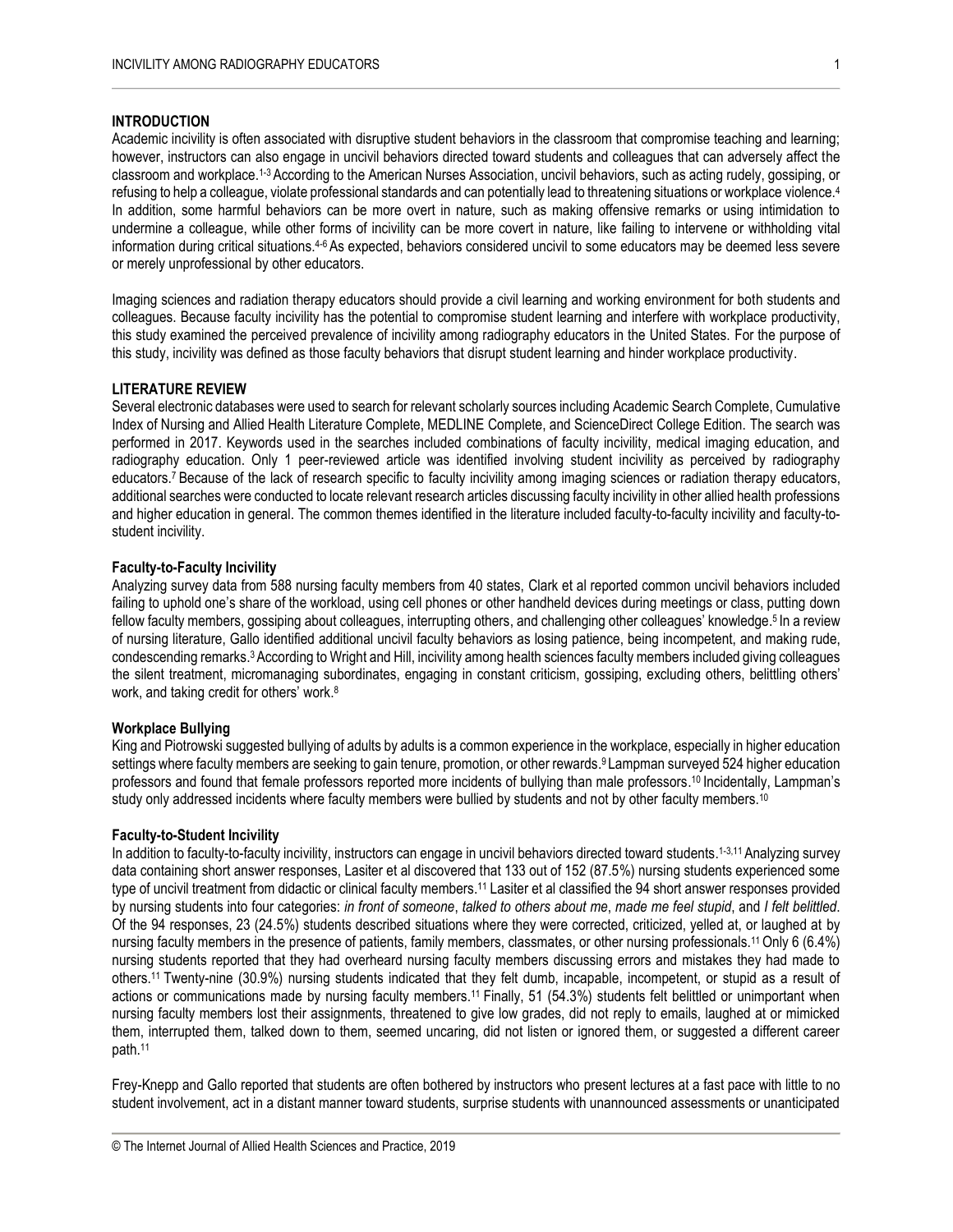#### **INTRODUCTION**

Academic incivility is often associated with disruptive student behaviors in the classroom that compromise teaching and learning; however, instructors can also engage in uncivil behaviors directed toward students and colleagues that can adversely affect the classroom and workplace.<sup>1-3</sup> According to the American Nurses Association, uncivil behaviors, such as acting rudely, gossiping, or refusing to help a colleague, violate professional standards and can potentially lead to threatening situations or workplace violence. 4 In addition, some harmful behaviors can be more overt in nature, such as making offensive remarks or using intimidation to undermine a colleague, while other forms of incivility can be more covert in nature, like failing to intervene or withholding vital information during critical situations.<sup>4-6</sup> As expected, behaviors considered uncivil to some educators may be deemed less severe or merely unprofessional by other educators.

Imaging sciences and radiation therapy educators should provide a civil learning and working environment for both students and colleagues. Because faculty incivility has the potential to compromise student learning and interfere with workplace productivity, this study examined the perceived prevalence of incivility among radiography educators in the United States. For the purpose of this study, incivility was defined as those faculty behaviors that disrupt student learning and hinder workplace productivity.

#### **LITERATURE REVIEW**

Several electronic databases were used to search for relevant scholarly sources including Academic Search Complete, Cumulative Index of Nursing and Allied Health Literature Complete, MEDLINE Complete, and ScienceDirect College Edition. The search was performed in 2017. Keywords used in the searches included combinations of faculty incivility, medical imaging education, and radiography education. Only 1 peer-reviewed article was identified involving student incivility as perceived by radiography educators.<sup>7</sup> Because of the lack of research specific to faculty incivility among imaging sciences or radiation therapy educators, additional searches were conducted to locate relevant research articles discussing faculty incivility in other allied health professions and higher education in general. The common themes identified in the literature included faculty-to-faculty incivility and faculty-tostudent incivility.

#### **Faculty-to-Faculty Incivility**

Analyzing survey data from 588 nursing faculty members from 40 states, Clark et al reported common uncivil behaviors included failing to uphold one's share of the workload, using cell phones or other handheld devices during meetings or class, putting down fellow faculty members, gossiping about colleagues, interrupting others, and challenging other colleagues' knowledge.<sup>5</sup> In a review of nursing literature, Gallo identified additional uncivil faculty behaviors as losing patience, being incompetent, and making rude, condescending remarks.<sup>3</sup> According to Wright and Hill, incivility among health sciences faculty members included giving colleagues the silent treatment, micromanaging subordinates, engaging in constant criticism, gossiping, excluding others, belittling others' work, and taking credit for others' work.<sup>8</sup>

#### **Workplace Bullying**

King and Piotrowski suggested bullying of adults by adults is a common experience in the workplace, especially in higher education settings where faculty members are seeking to gain tenure, promotion, or other rewards. <sup>9</sup>Lampman surveyed 524 higher education professors and found that female professors reported more incidents of bullying than male professors.<sup>10</sup> Incidentally, Lampman's study only addressed incidents where faculty members were bullied by students and not by other faculty members.<sup>10</sup>

#### **Faculty-to-Student Incivility**

In addition to faculty-to-faculty incivility, instructors can engage in uncivil behaviors directed toward students.<sup>1-3,11</sup> Analyzing survey data containing short answer responses, Lasiter et al discovered that 133 out of 152 (87.5%) nursing students experienced some type of uncivil treatment from didactic or clinical faculty members.<sup>11</sup> Lasiter et al classified the 94 short answer responses provided by nursing students into four categories: *in front of someone*, *talked to others about me*, *made me feel stupid*, and *I felt belittled*. Of the 94 responses, 23 (24.5%) students described situations where they were corrected, criticized, yelled at, or laughed at by nursing faculty members in the presence of patients, family members, classmates, or other nursing professionals.<sup>11</sup> Only 6 (6.4%) nursing students reported that they had overheard nursing faculty members discussing errors and mistakes they had made to others. <sup>11</sup>Twenty-nine (30.9%) nursing students indicated that they felt dumb, incapable, incompetent, or stupid as a result of actions or communications made by nursing faculty members.<sup>11</sup> Finally, 51 (54.3%) students felt belittled or unimportant when nursing faculty members lost their assignments, threatened to give low grades, did not reply to emails, laughed at or mimicked them, interrupted them, talked down to them, seemed uncaring, did not listen or ignored them, or suggested a different career path. 11

Frey-Knepp and Gallo reported that students are often bothered by instructors who present lectures at a fast pace with little to no student involvement, act in a distant manner toward students, surprise students with unannounced assessments or unanticipated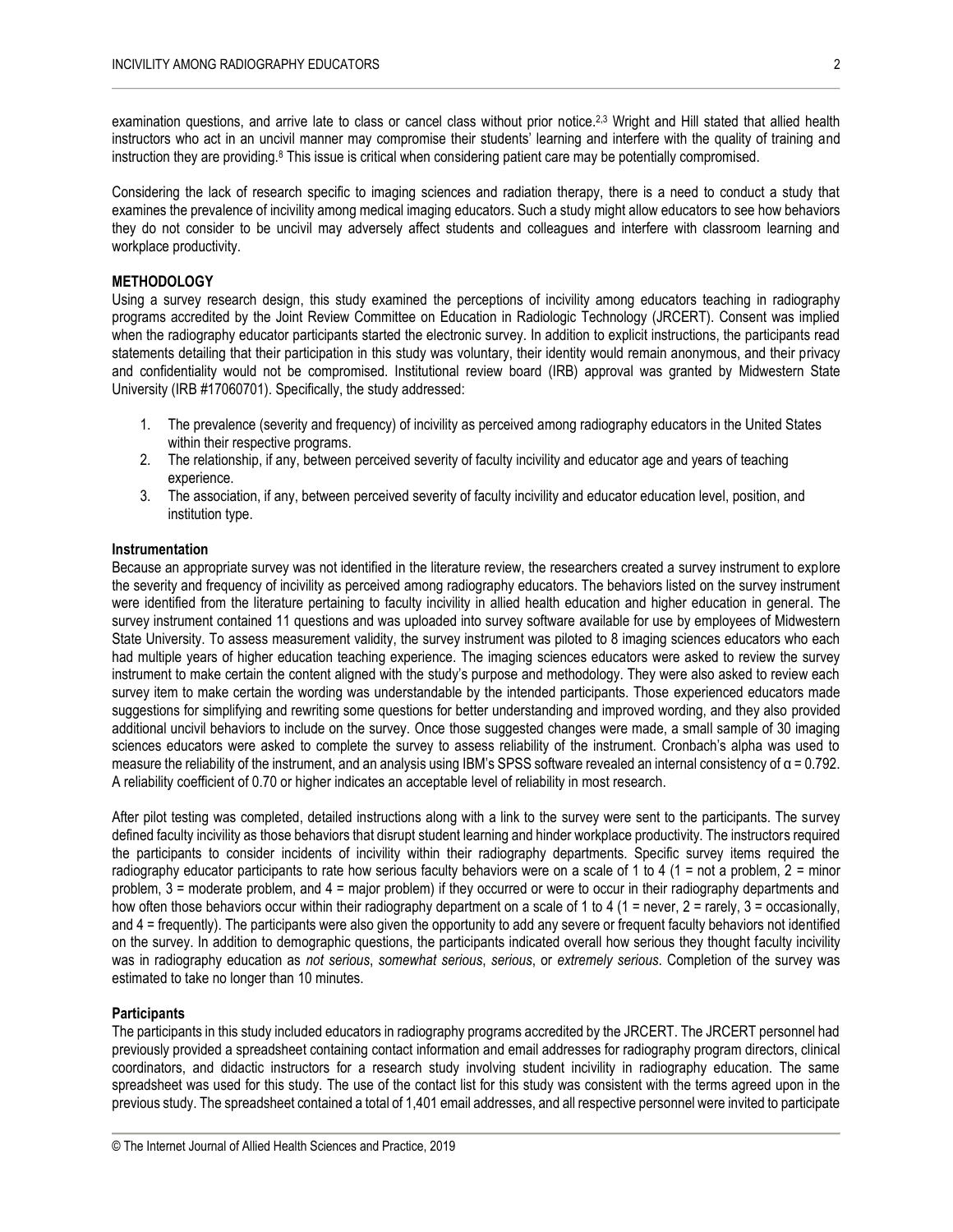examination questions, and arrive late to class or cancel class without prior notice.<sup>2,3</sup> Wright and Hill stated that allied health instructors who act in an uncivil manner may compromise their students' learning and interfere with the quality of training and instruction they are providing.<sup>8</sup> This issue is critical when considering patient care may be potentially compromised.

Considering the lack of research specific to imaging sciences and radiation therapy, there is a need to conduct a study that examines the prevalence of incivility among medical imaging educators. Such a study might allow educators to see how behaviors they do not consider to be uncivil may adversely affect students and colleagues and interfere with classroom learning and workplace productivity.

## **METHODOLOGY**

Using a survey research design, this study examined the perceptions of incivility among educators teaching in radiography programs accredited by the Joint Review Committee on Education in Radiologic Technology (JRCERT). Consent was implied when the radiography educator participants started the electronic survey. In addition to explicit instructions, the participants read statements detailing that their participation in this study was voluntary, their identity would remain anonymous, and their privacy and confidentiality would not be compromised. Institutional review board (IRB) approval was granted by Midwestern State University (IRB #17060701). Specifically, the study addressed:

- 1. The prevalence (severity and frequency) of incivility as perceived among radiography educators in the United States within their respective programs.
- 2. The relationship, if any, between perceived severity of faculty incivility and educator age and years of teaching experience.
- 3. The association, if any, between perceived severity of faculty incivility and educator education level, position, and institution type.

#### **Instrumentation**

Because an appropriate survey was not identified in the literature review, the researchers created a survey instrument to explore the severity and frequency of incivility as perceived among radiography educators. The behaviors listed on the survey instrument were identified from the literature pertaining to faculty incivility in allied health education and higher education in general. The survey instrument contained 11 questions and was uploaded into survey software available for use by employees of Midwestern State University. To assess measurement validity, the survey instrument was piloted to 8 imaging sciences educators who each had multiple years of higher education teaching experience. The imaging sciences educators were asked to review the survey instrument to make certain the content aligned with the study's purpose and methodology. They were also asked to review each survey item to make certain the wording was understandable by the intended participants. Those experienced educators made suggestions for simplifying and rewriting some questions for better understanding and improved wording, and they also provided additional uncivil behaviors to include on the survey. Once those suggested changes were made, a small sample of 30 imaging sciences educators were asked to complete the survey to assess reliability of the instrument. Cronbach's alpha was used to measure the reliability of the instrument, and an analysis using IBM's SPSS software revealed an internal consistency of  $\alpha$  = 0.792. A reliability coefficient of 0.70 or higher indicates an acceptable level of reliability in most research.

After pilot testing was completed, detailed instructions along with a link to the survey were sent to the participants. The survey defined faculty incivility as those behaviors that disrupt student learning and hinder workplace productivity. The instructors required the participants to consider incidents of incivility within their radiography departments. Specific survey items required the radiography educator participants to rate how serious faculty behaviors were on a scale of 1 to 4 (1 = not a problem, 2 = minor problem, 3 = moderate problem, and 4 = major problem) if they occurred or were to occur in their radiography departments and how often those behaviors occur within their radiography department on a scale of 1 to 4 (1 = never, 2 = rarely, 3 = occasionally, and 4 = frequently). The participants were also given the opportunity to add any severe or frequent faculty behaviors not identified on the survey. In addition to demographic questions, the participants indicated overall how serious they thought faculty incivility was in radiography education as *not serious*, *somewhat serious*, *serious*, or *extremely serious*. Completion of the survey was estimated to take no longer than 10 minutes.

#### **Participants**

The participants in this study included educators in radiography programs accredited by the JRCERT. The JRCERT personnel had previously provided a spreadsheet containing contact information and email addresses for radiography program directors, clinical coordinators, and didactic instructors for a research study involving student incivility in radiography education. The same spreadsheet was used for this study. The use of the contact list for this study was consistent with the terms agreed upon in the previous study. The spreadsheet contained a total of 1,401 email addresses, and all respective personnel were invited to participate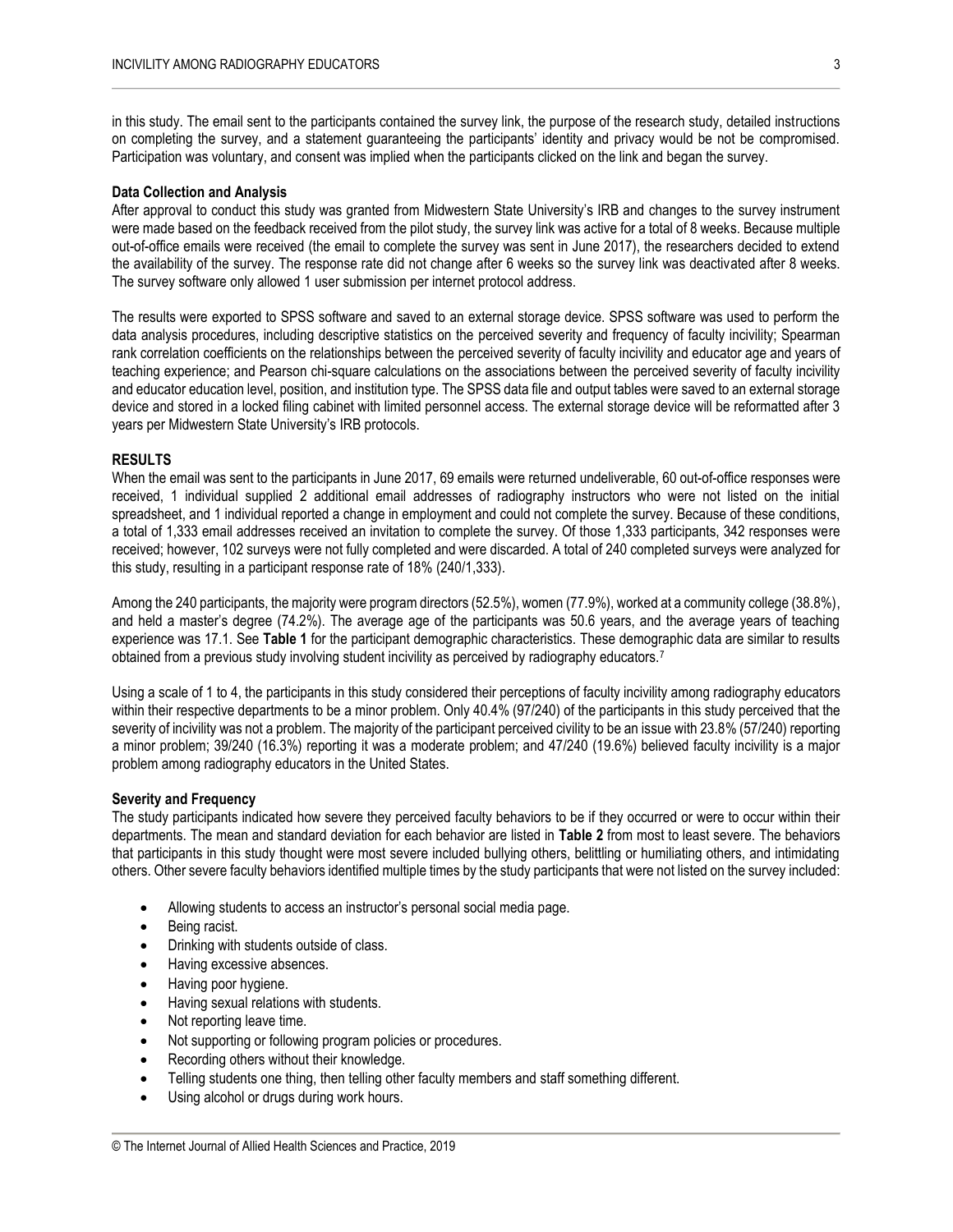in this study. The email sent to the participants contained the survey link, the purpose of the research study, detailed instructions on completing the survey, and a statement guaranteeing the participants' identity and privacy would be not be compromised. Participation was voluntary, and consent was implied when the participants clicked on the link and began the survey.

#### **Data Collection and Analysis**

After approval to conduct this study was granted from Midwestern State University's IRB and changes to the survey instrument were made based on the feedback received from the pilot study, the survey link was active for a total of 8 weeks. Because multiple out-of-office emails were received (the email to complete the survey was sent in June 2017), the researchers decided to extend the availability of the survey. The response rate did not change after 6 weeks so the survey link was deactivated after 8 weeks. The survey software only allowed 1 user submission per internet protocol address.

The results were exported to SPSS software and saved to an external storage device. SPSS software was used to perform the data analysis procedures, including descriptive statistics on the perceived severity and frequency of faculty incivility; Spearman rank correlation coefficients on the relationships between the perceived severity of faculty incivility and educator age and years of teaching experience; and Pearson chi-square calculations on the associations between the perceived severity of faculty incivility and educator education level, position, and institution type. The SPSS data file and output tables were saved to an external storage device and stored in a locked filing cabinet with limited personnel access. The external storage device will be reformatted after 3 years per Midwestern State University's IRB protocols.

#### **RESULTS**

When the email was sent to the participants in June 2017, 69 emails were returned undeliverable, 60 out-of-office responses were received, 1 individual supplied 2 additional email addresses of radiography instructors who were not listed on the initial spreadsheet, and 1 individual reported a change in employment and could not complete the survey. Because of these conditions, a total of 1,333 email addresses received an invitation to complete the survey. Of those 1,333 participants, 342 responses were received; however, 102 surveys were not fully completed and were discarded. A total of 240 completed surveys were analyzed for this study, resulting in a participant response rate of 18% (240/1,333).

Among the 240 participants, the majority were program directors (52.5%), women (77.9%), worked at a community college (38.8%), and held a master's degree (74.2%). The average age of the participants was 50.6 years, and the average years of teaching experience was 17.1. See **Table 1** for the participant demographic characteristics. These demographic data are similar to results obtained from a previous study involving student incivility as perceived by radiography educators.<sup>7</sup>

Using a scale of 1 to 4, the participants in this study considered their perceptions of faculty incivility among radiography educators within their respective departments to be a minor problem. Only 40.4% (97/240) of the participants in this study perceived that the severity of incivility was not a problem. The majority of the participant perceived civility to be an issue with 23.8% (57/240) reporting a minor problem; 39/240 (16.3%) reporting it was a moderate problem; and 47/240 (19.6%) believed faculty incivility is a major problem among radiography educators in the United States.

#### **Severity and Frequency**

The study participants indicated how severe they perceived faculty behaviors to be if they occurred or were to occur within their departments. The mean and standard deviation for each behavior are listed in **Table 2** from most to least severe. The behaviors that participants in this study thought were most severe included bullying others, belittling or humiliating others, and intimidating others. Other severe faculty behaviors identified multiple times by the study participants that were not listed on the survey included:

- Allowing students to access an instructor's personal social media page.
- Being racist.
- Drinking with students outside of class.
- Having excessive absences.
- Having poor hygiene.
- Having sexual relations with students.
- Not reporting leave time.
- Not supporting or following program policies or procedures.
- Recording others without their knowledge.
- Telling students one thing, then telling other faculty members and staff something different.
- Using alcohol or drugs during work hours.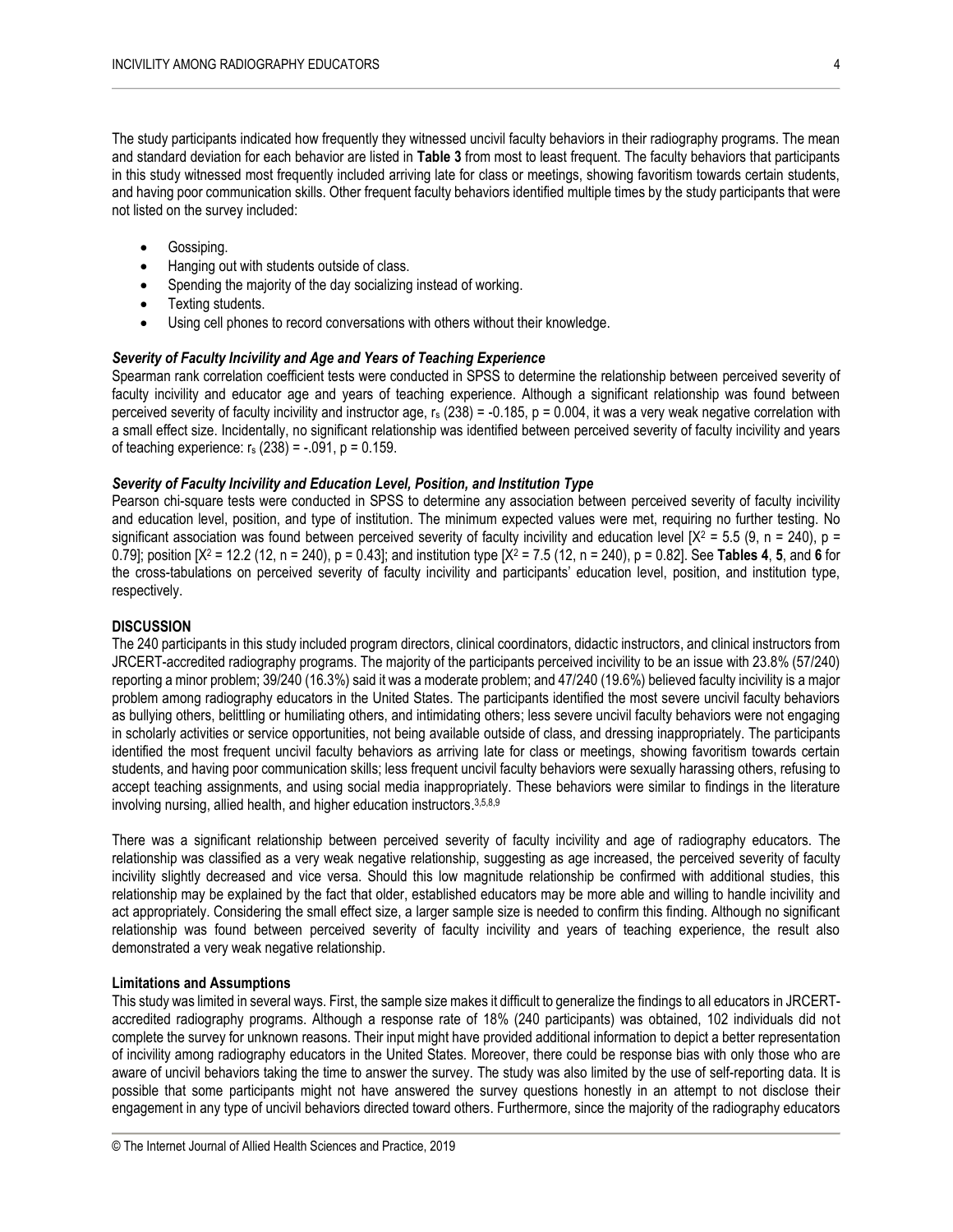The study participants indicated how frequently they witnessed uncivil faculty behaviors in their radiography programs. The mean and standard deviation for each behavior are listed in **Table 3** from most to least frequent. The faculty behaviors that participants in this study witnessed most frequently included arriving late for class or meetings, showing favoritism towards certain students, and having poor communication skills. Other frequent faculty behaviors identified multiple times by the study participants that were not listed on the survey included:

- Gossiping.
- Hanging out with students outside of class.
- Spending the majority of the day socializing instead of working.
- Texting students.
- Using cell phones to record conversations with others without their knowledge.

#### *Severity of Faculty Incivility and Age and Years of Teaching Experience*

Spearman rank correlation coefficient tests were conducted in SPSS to determine the relationship between perceived severity of faculty incivility and educator age and years of teaching experience. Although a significant relationship was found between perceived severity of faculty incivility and instructor age,  $r_s$  (238) = -0.185, p = 0.004, it was a very weak negative correlation with a small effect size. Incidentally, no significant relationship was identified between perceived severity of faculty incivility and years of teaching experience:  $r_s$  (238) = -.091,  $p = 0.159$ .

#### *Severity of Faculty Incivility and Education Level, Position, and Institution Type*

Pearson chi-square tests were conducted in SPSS to determine any association between perceived severity of faculty incivility and education level, position, and type of institution. The minimum expected values were met, requiring no further testing. No significant association was found between perceived severity of faculty incivility and education level  $[X^2 = 5.5 (9, n = 240)$ , p = 0.79]; position [X<sup>2</sup> = 12.2 (12, n = 240), p = 0.43]; and institution type [X<sup>2</sup> = 7.5 (12, n = 240), p = 0.82]. See **Tables 4**, **5**, and **6** for the cross-tabulations on perceived severity of faculty incivility and participants' education level, position, and institution type, respectively.

#### **DISCUSSION**

The 240 participants in this study included program directors, clinical coordinators, didactic instructors, and clinical instructors from JRCERT-accredited radiography programs. The majority of the participants perceived incivility to be an issue with 23.8% (57/240) reporting a minor problem; 39/240 (16.3%) said it was a moderate problem; and 47/240 (19.6%) believed faculty incivility is a major problem among radiography educators in the United States. The participants identified the most severe uncivil faculty behaviors as bullying others, belittling or humiliating others, and intimidating others; less severe uncivil faculty behaviors were not engaging in scholarly activities or service opportunities, not being available outside of class, and dressing inappropriately. The participants identified the most frequent uncivil faculty behaviors as arriving late for class or meetings, showing favoritism towards certain students, and having poor communication skills; less frequent uncivil faculty behaviors were sexually harassing others, refusing to accept teaching assignments, and using social media inappropriately. These behaviors were similar to findings in the literature involving nursing, allied health, and higher education instructors. 3,5,8,9

There was a significant relationship between perceived severity of faculty incivility and age of radiography educators. The relationship was classified as a very weak negative relationship, suggesting as age increased, the perceived severity of faculty incivility slightly decreased and vice versa. Should this low magnitude relationship be confirmed with additional studies, this relationship may be explained by the fact that older, established educators may be more able and willing to handle incivility and act appropriately. Considering the small effect size, a larger sample size is needed to confirm this finding. Although no significant relationship was found between perceived severity of faculty incivility and years of teaching experience, the result also demonstrated a very weak negative relationship.

#### **Limitations and Assumptions**

This study was limited in several ways. First, the sample size makes it difficult to generalize the findings to all educators in JRCERTaccredited radiography programs. Although a response rate of 18% (240 participants) was obtained, 102 individuals did not complete the survey for unknown reasons. Their input might have provided additional information to depict a better representation of incivility among radiography educators in the United States. Moreover, there could be response bias with only those who are aware of uncivil behaviors taking the time to answer the survey. The study was also limited by the use of self-reporting data. It is possible that some participants might not have answered the survey questions honestly in an attempt to not disclose their engagement in any type of uncivil behaviors directed toward others. Furthermore, since the majority of the radiography educators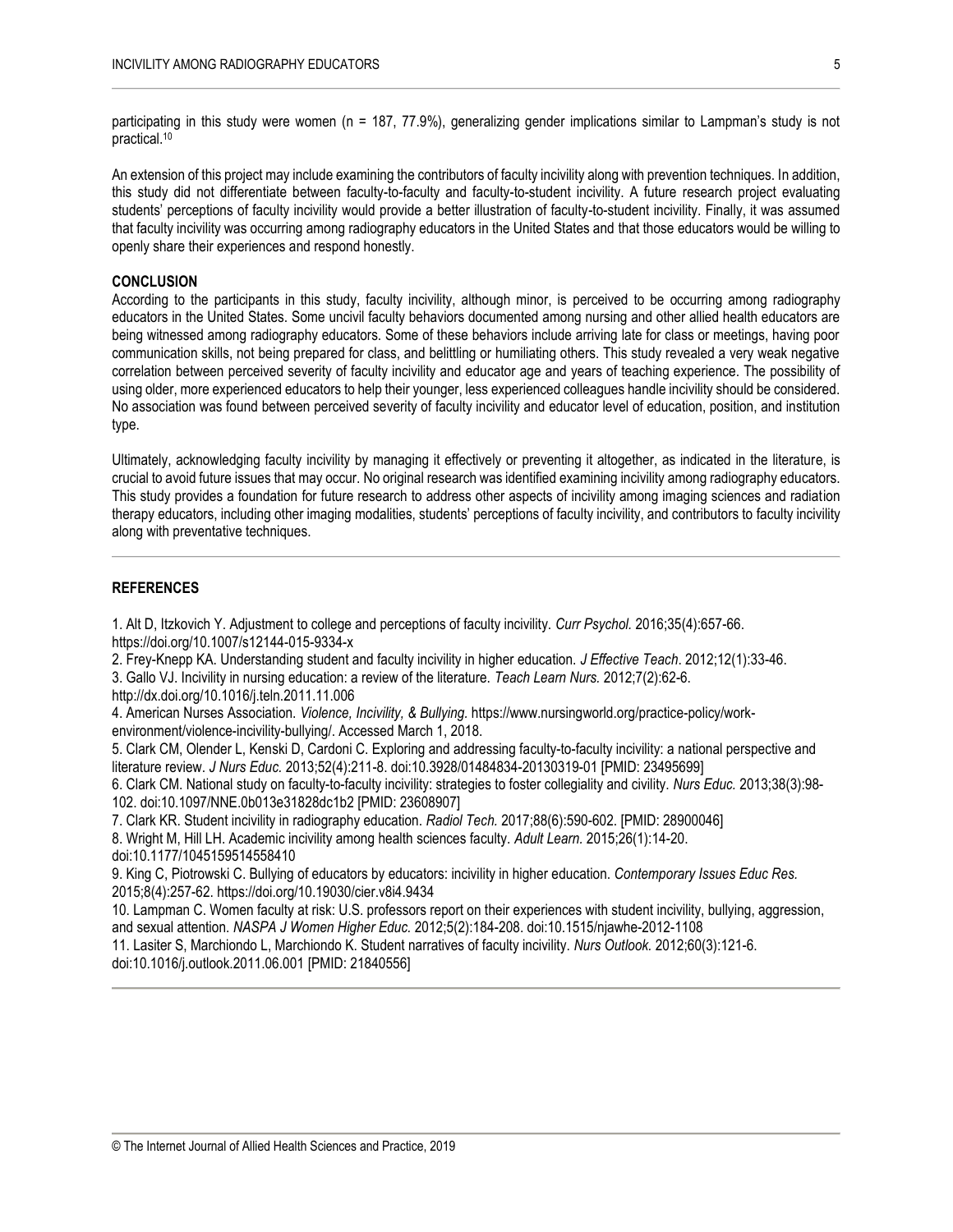participating in this study were women (n = 187, 77.9%), generalizing gender implications similar to Lampman's study is not practical. 10

An extension of this project may include examining the contributors of faculty incivility along with prevention techniques. In addition, this study did not differentiate between faculty-to-faculty and faculty-to-student incivility. A future research project evaluating students' perceptions of faculty incivility would provide a better illustration of faculty-to-student incivility. Finally, it was assumed that faculty incivility was occurring among radiography educators in the United States and that those educators would be willing to openly share their experiences and respond honestly.

## **CONCLUSION**

According to the participants in this study, faculty incivility, although minor, is perceived to be occurring among radiography educators in the United States. Some uncivil faculty behaviors documented among nursing and other allied health educators are being witnessed among radiography educators. Some of these behaviors include arriving late for class or meetings, having poor communication skills, not being prepared for class, and belittling or humiliating others. This study revealed a very weak negative correlation between perceived severity of faculty incivility and educator age and years of teaching experience. The possibility of using older, more experienced educators to help their younger, less experienced colleagues handle incivility should be considered. No association was found between perceived severity of faculty incivility and educator level of education, position, and institution type.

Ultimately, acknowledging faculty incivility by managing it effectively or preventing it altogether, as indicated in the literature, is crucial to avoid future issues that may occur. No original research was identified examining incivility among radiography educators. This study provides a foundation for future research to address other aspects of incivility among imaging sciences and radiation therapy educators, including other imaging modalities, students' perceptions of faculty incivility, and contributors to faculty incivility along with preventative techniques.

#### **REFERENCES**

1. Alt D, Itzkovich Y. Adjustment to college and perceptions of faculty incivility. *Curr Psychol.* 2016;35(4):657-66. https://doi.org/10.1007/s12144-015-9334-x

2. Frey-Knepp KA. Understanding student and faculty incivility in higher education. *J Effective Teach*. 2012;12(1):33-46. 3. Gallo VJ. Incivility in nursing education: a review of the literature. *Teach Learn Nurs.* 2012;7(2):62-6. http://dx.doi.org/10.1016/j.teln.2011.11.006

4. American Nurses Association. *Violence, Incivility, & Bullying.* https://www.nursingworld.org/practice-policy/workenvironment/violence-incivility-bullying/. Accessed March 1, 2018.

5. Clark CM, Olender L, Kenski D, Cardoni C. Exploring and addressing faculty-to-faculty incivility: a national perspective and literature review. *J Nurs Educ.* 2013;52(4):211-8. doi:10.3928/01484834-20130319-01 [PMID: 23495699]

6. Clark CM. National study on faculty-to-faculty incivility: strategies to foster collegiality and civility. *Nurs Educ.* 2013;38(3):98- 102. doi:10.1097/NNE.0b013e31828dc1b2 [PMID: 23608907]

7. Clark KR. Student incivility in radiography education. *Radiol Tech.* 2017;88(6):590-602. [PMID: 28900046]

8. Wright M, Hill LH. Academic incivility among health sciences faculty. *Adult Learn.* 2015;26(1):14-20.

doi:10.1177/1045159514558410

9. King C, Piotrowski C. Bullying of educators by educators: incivility in higher education. *Contemporary Issues Educ Res.*  2015;8(4):257-62. https://doi.org/10.19030/cier.v8i4.9434

10. Lampman C. Women faculty at risk: U.S. professors report on their experiences with student incivility, bullying, aggression, and sexual attention. *NASPA J Women Higher Educ.* 2012;5(2):184-208. doi:10.1515/njawhe-2012-1108

11. Lasiter S, Marchiondo L, Marchiondo K. Student narratives of faculty incivility. *Nurs Outlook.* 2012;60(3):121-6. doi:10.1016/j.outlook.2011.06.001 [PMID: 21840556]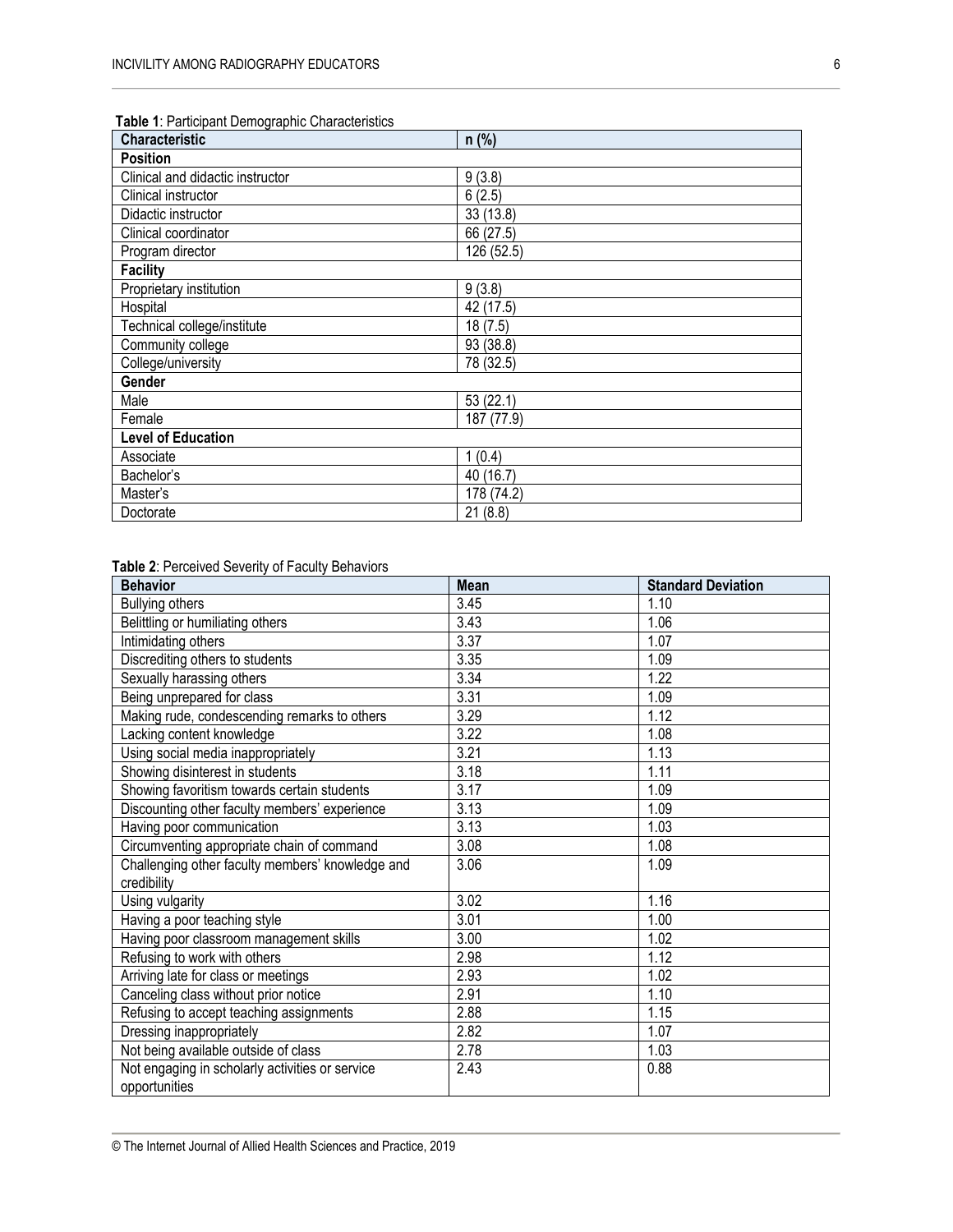| Table 1: Participant Demographic Characteristics |  |
|--------------------------------------------------|--|
|                                                  |  |

| <b>Characteristic</b>            | $n$ (%)    |
|----------------------------------|------------|
| <b>Position</b>                  |            |
| Clinical and didactic instructor | 9(3.8)     |
| Clinical instructor              | 6(2.5)     |
| Didactic instructor              | 33 (13.8)  |
| Clinical coordinator             | 66 (27.5)  |
| Program director                 | 126 (52.5) |
| <b>Facility</b>                  |            |
| Proprietary institution          | 9(3.8)     |
| Hospital                         | 42 (17.5)  |
| Technical college/institute      | 18(7.5)    |
| Community college                | 93 (38.8)  |
| College/university               | 78 (32.5)  |
| Gender                           |            |
| Male                             | 53(22.1)   |
| Female                           | 187 (77.9) |
| <b>Level of Education</b>        |            |
| Associate                        | 1(0.4)     |
| Bachelor's                       | 40 (16.7)  |
| Master's                         | 178 (74.2) |
| Doctorate                        | 21(8.8)    |

## **Table 2**: Perceived Severity of Faculty Behaviors

| <b>Behavior</b>                                                  | <b>Mean</b> | <b>Standard Deviation</b> |
|------------------------------------------------------------------|-------------|---------------------------|
| <b>Bullying others</b>                                           | 3.45        | 1.10                      |
| Belittling or humiliating others                                 | 3.43        | 1.06                      |
| Intimidating others                                              | 3.37        | 1.07                      |
| Discrediting others to students                                  | 3.35        | 1.09                      |
| Sexually harassing others                                        | 3.34        | 1.22                      |
| Being unprepared for class                                       | 3.31        | 1.09                      |
| Making rude, condescending remarks to others                     | 3.29        | 1.12                      |
| Lacking content knowledge                                        | 3.22        | 1.08                      |
| Using social media inappropriately                               | 3.21        | 1.13                      |
| Showing disinterest in students                                  | 3.18        | 1.11                      |
| Showing favoritism towards certain students                      | 3.17        | 1.09                      |
| Discounting other faculty members' experience                    | 3.13        | 1.09                      |
| Having poor communication                                        | 3.13        | 1.03                      |
| Circumventing appropriate chain of command                       | 3.08        | 1.08                      |
| Challenging other faculty members' knowledge and                 | 3.06        | 1.09                      |
| credibility                                                      |             |                           |
| Using vulgarity                                                  | 3.02        | 1.16                      |
| Having a poor teaching style                                     | 3.01        | 1.00                      |
| Having poor classroom management skills                          | 3.00        | 1.02                      |
| Refusing to work with others                                     | 2.98        | 1.12                      |
| Arriving late for class or meetings                              | 2.93        | 1.02                      |
| Canceling class without prior notice                             | 2.91        | 1.10                      |
| Refusing to accept teaching assignments                          | 2.88        | 1.15                      |
| Dressing inappropriately                                         | 2.82        | 1.07                      |
| Not being available outside of class                             | 2.78        | 1.03                      |
| Not engaging in scholarly activities or service<br>opportunities | 2.43        | 0.88                      |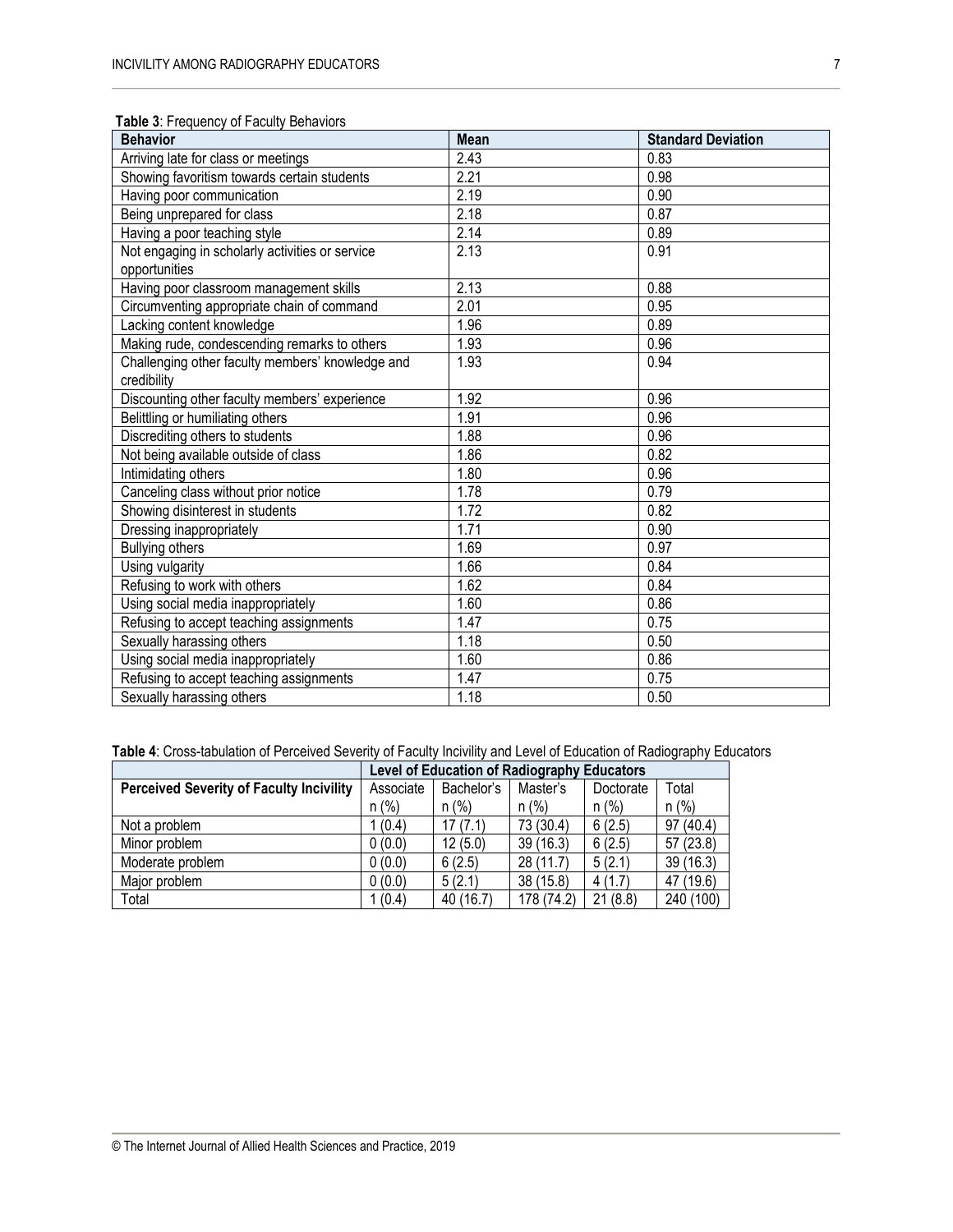| <b>Behavior</b>                                                  | <b>Mean</b> | <b>Standard Deviation</b> |
|------------------------------------------------------------------|-------------|---------------------------|
| Arriving late for class or meetings                              | 2.43        | 0.83                      |
| Showing favoritism towards certain students                      | 2.21        | 0.98                      |
| Having poor communication                                        | 2.19        | 0.90                      |
| Being unprepared for class                                       | 2.18        | 0.87                      |
| Having a poor teaching style                                     | 2.14        | 0.89                      |
| Not engaging in scholarly activities or service<br>opportunities | 2.13        | 0.91                      |
| Having poor classroom management skills                          | 2.13        | 0.88                      |
| Circumventing appropriate chain of command                       | 2.01        | 0.95                      |
| Lacking content knowledge                                        | 1.96        | 0.89                      |
| Making rude, condescending remarks to others                     | 1.93        | 0.96                      |
| Challenging other faculty members' knowledge and<br>credibility  | 1.93        | 0.94                      |
| Discounting other faculty members' experience                    | 1.92        | 0.96                      |
| Belittling or humiliating others                                 | 1.91        | 0.96                      |
| Discrediting others to students                                  | 1.88        | 0.96                      |
| Not being available outside of class                             | 1.86        | 0.82                      |
| Intimidating others                                              | 1.80        | 0.96                      |
| Canceling class without prior notice                             | 1.78        | 0.79                      |
| Showing disinterest in students                                  | 1.72        | 0.82                      |
| Dressing inappropriately                                         | 1.71        | 0.90                      |
| <b>Bullying others</b>                                           | 1.69        | 0.97                      |
| Using vulgarity                                                  | 1.66        | 0.84                      |
| Refusing to work with others                                     | 1.62        | 0.84                      |
| Using social media inappropriately                               | 1.60        | 0.86                      |
| Refusing to accept teaching assignments                          | 1.47        | 0.75                      |
| Sexually harassing others                                        | 1.18        | 0.50                      |
| Using social media inappropriately                               | 1.60        | 0.86                      |
| Refusing to accept teaching assignments                          | 1.47        | 0.75                      |
| Sexually harassing others                                        | 1.18        | 0.50                      |

## **Table 3**: Frequency of Faculty Behaviors

**Table 4**: Cross-tabulation of Perceived Severity of Faculty Incivility and Level of Education of Radiography Educators

|                                                 | Level of Education of Radiography Educators |           |            |           |           |  |  |
|-------------------------------------------------|---------------------------------------------|-----------|------------|-----------|-----------|--|--|
| <b>Perceived Severity of Faculty Incivility</b> | Associate<br>Bachelor's                     |           | Master's   | Doctorate | Total     |  |  |
|                                                 | $n$ (%)                                     | n (%)     | $n$ (%)    | $n$ (%)   | $n$ (%)   |  |  |
| Not a problem                                   | 1(0.4)                                      | 17(7.1)   | 73 (30.4)  | 6(2.5)    | 97 (40.4) |  |  |
| Minor problem                                   | 0(0.0)                                      | 12(5.0)   | 39(16.3)   | 6(2.5)    | 57(23.8)  |  |  |
| Moderate problem                                | 0(0.0)                                      | 6(2.5)    | 28 (11.7)  | 5(2.1)    | 39(16.3)  |  |  |
| Major problem                                   | 0(0.0)                                      | 5(2.1)    | 38 (15.8)  | 4(1.7)    | 47 (19.6) |  |  |
| Total                                           | 1(0.4)                                      | 40 (16.7) | 178 (74.2) | 21(8.8)   | 240 (100) |  |  |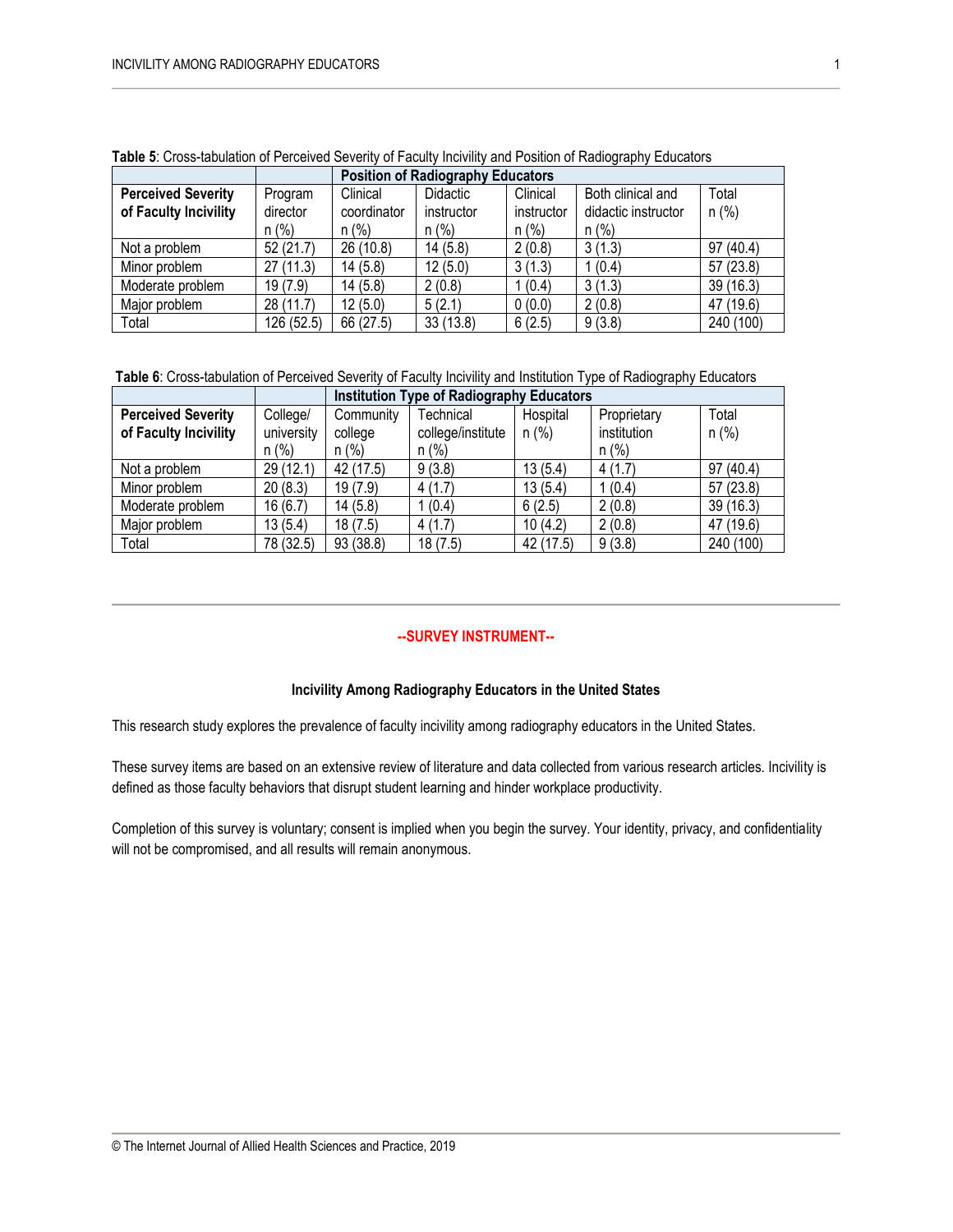|                           |            |             | <b>Position of Radiography Educators</b> |            |                     |           |  |  |
|---------------------------|------------|-------------|------------------------------------------|------------|---------------------|-----------|--|--|
| <b>Perceived Severity</b> | Program    | Clinical    | Didactic                                 | Clinical   | Both clinical and   | Total     |  |  |
| of Faculty Incivility     | director   | coordinator | instructor                               | instructor | didactic instructor | n (%)     |  |  |
|                           | $n$ (%)    | $n$ (%)     | $n$ (%)                                  | $n (\%)$   | $n (\%)$            |           |  |  |
| Not a problem             | 52(21.7)   | 26 (10.8)   | 14(5.8)                                  | 2(0.8)     | 3(1.3)              | 97 (40.4) |  |  |
| Minor problem             | 27(11.3)   | 14(5.8)     | 12(5.0)                                  | 3(1.3)     | 1(0.4)              | 57(23.8)  |  |  |
| Moderate problem          | 19(7.9)    | 14(5.8)     | 2(0.8)                                   | 1(0.4)     | 3(1.3)              | 39(16.3)  |  |  |
| Major problem             | 28 (11.7)  | 12(5.0)     | 5(2.1)                                   | 0(0.0)     | 2(0.8)              | 47 (19.6) |  |  |
| Total                     | 126 (52.5) | 66 (27.5)   | 33(13.8)                                 | 6(2.5)     | 9(3.8)              | 240 (100) |  |  |

**Table 5**: Cross-tabulation of Perceived Severity of Faculty Incivility and Position of Radiography Educators

**Table 6**: Cross-tabulation of Perceived Severity of Faculty Incivility and Institution Type of Radiography Educators

|                           |            | <b>Institution Type of Radiography Educators</b> |                   |           |             |           |
|---------------------------|------------|--------------------------------------------------|-------------------|-----------|-------------|-----------|
| <b>Perceived Severity</b> | College/   | Community                                        | Technical         | Hospital  | Proprietary | Total     |
| of Faculty Incivility     | university | college                                          | college/institute | $n$ (%)   | institution | $n$ (%)   |
|                           | $n (\%)$   | n (%)                                            | $n (\%)$          |           | $n$ (%)     |           |
| Not a problem             | 29 (12.1)  | 42 (17.5)                                        | 9(3.8)            | 13(5.4)   | 4(1.7)      | 97(40.4)  |
| Minor problem             | 20(8.3)    | 19(7.9)                                          | 4(1.7)            | 13(5.4)   | 1(0.4)      | 57 (23.8) |
| Moderate problem          | 16(6.7)    | 14(5.8)                                          | 1 (0.4)           | 6(2.5)    | 2(0.8)      | 39 (16.3) |
| Major problem             | 13 (5.4)   | 18(7.5)                                          | 4(1.7)            | 10(4.2)   | 2(0.8)      | 47 (19.6) |
| Total                     | 78 (32.5)  | 93 (38.8)                                        | 18(7.5)           | 42 (17.5) | 9(3.8)      | 240 (100) |

## **--SURVEY INSTRUMENT--**

#### **Incivility Among Radiography Educators in the United States**

This research study explores the prevalence of faculty incivility among radiography educators in the United States.

These survey items are based on an extensive review of literature and data collected from various research articles. Incivility is defined as those faculty behaviors that disrupt student learning and hinder workplace productivity.

Completion of this survey is voluntary; consent is implied when you begin the survey. Your identity, privacy, and confidentiality will not be compromised, and all results will remain anonymous.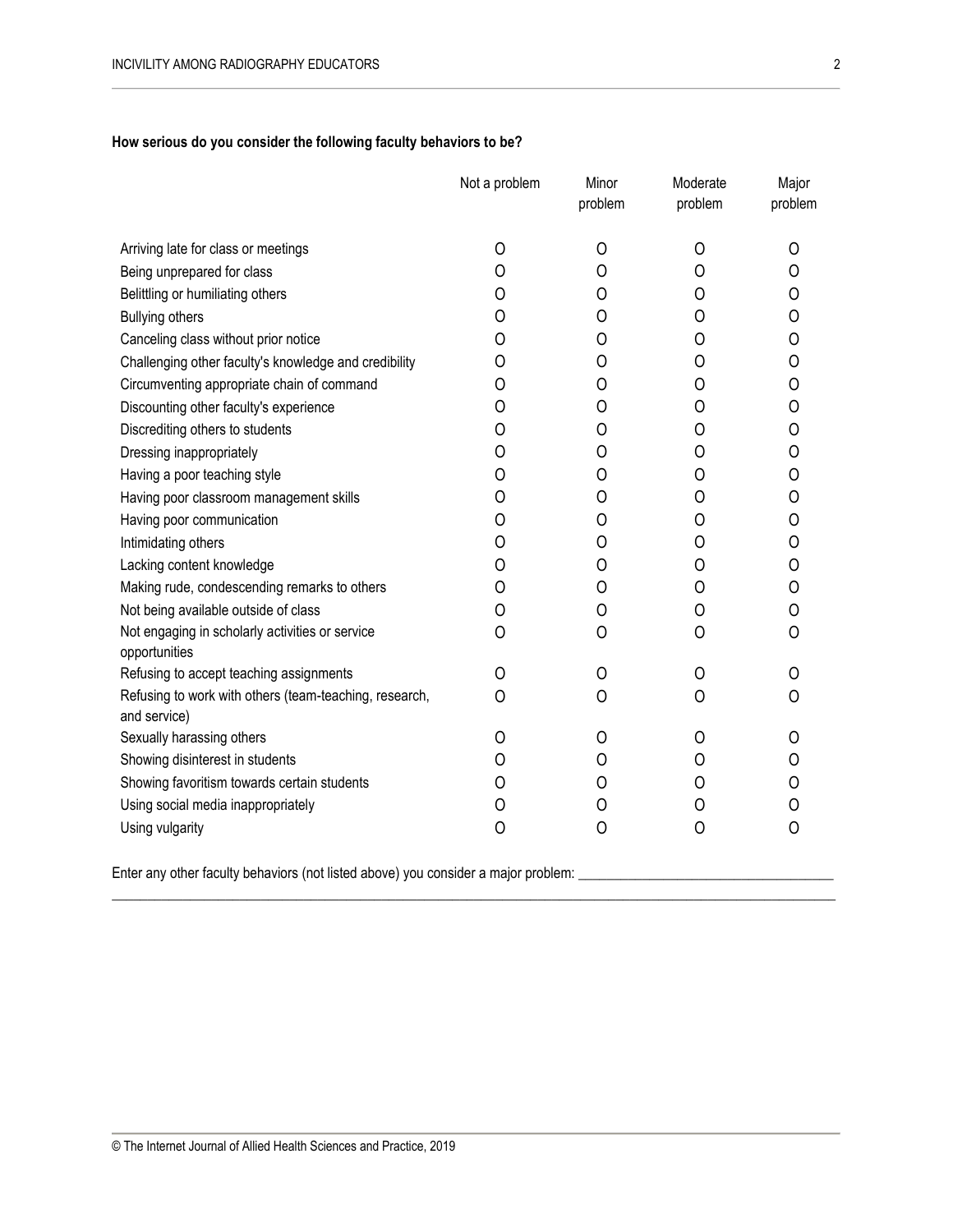## **How serious do you consider the following faculty behaviors to be?**

|                                                                        | Not a problem | Minor<br>problem | Moderate<br>problem | Major<br>problem |
|------------------------------------------------------------------------|---------------|------------------|---------------------|------------------|
| Arriving late for class or meetings                                    | 0             | 0                | $\circ$             | 0                |
| Being unprepared for class                                             | 0             | 0                | 0                   | 0                |
| Belittling or humiliating others                                       | O             | O                | 0                   | O                |
| <b>Bullying others</b>                                                 | 0             | 0                | 0                   | 0                |
| Canceling class without prior notice                                   | O             | O                | O                   | 0                |
| Challenging other faculty's knowledge and credibility                  | 0             | 0                | O                   | 0                |
| Circumventing appropriate chain of command                             | 0             | 0                | 0                   | 0                |
| Discounting other faculty's experience                                 | 0             | 0                | 0                   | 0                |
| Discrediting others to students                                        | 0             | 0                | 0                   | 0                |
| Dressing inappropriately                                               | O             | 0                | O                   | 0                |
| Having a poor teaching style                                           | 0             | 0                | 0                   | 0                |
| Having poor classroom management skills                                | 0             | 0                | O                   | 0                |
| Having poor communication                                              | O             | O                | O                   | 0                |
| Intimidating others                                                    | 0             | 0                | 0                   | 0                |
| Lacking content knowledge                                              | 0             | 0                | 0                   | 0                |
| Making rude, condescending remarks to others                           | 0             | 0                | 0                   | 0                |
| Not being available outside of class                                   | O             | 0                | 0                   | 0                |
| Not engaging in scholarly activities or service<br>opportunities       | 0             | 0                | 0                   | 0                |
| Refusing to accept teaching assignments                                | O             | 0                | 0                   | O                |
| Refusing to work with others (team-teaching, research,<br>and service) | $\Omega$      | 0                | O                   | Ω                |
| Sexually harassing others                                              | 0             | 0                | 0                   | 0                |
| Showing disinterest in students                                        | 0             | 0                | 0                   | 0                |
| Showing favoritism towards certain students                            | 0             | 0                | 0                   | 0                |
| Using social media inappropriately                                     | 0             | 0                | 0                   | 0                |
| Using vulgarity                                                        | $\circ$       | 0                | 0                   | 0                |
|                                                                        |               |                  |                     |                  |

\_\_\_\_\_\_\_\_\_\_\_\_\_\_\_\_\_\_\_\_\_\_\_\_\_\_\_\_\_\_\_\_\_\_\_\_\_\_\_\_\_\_\_\_\_\_\_\_\_\_\_\_\_\_\_\_\_\_\_\_\_\_\_\_\_\_\_\_\_\_\_\_\_\_\_\_\_\_\_\_\_\_\_\_\_\_\_\_\_\_\_\_\_\_\_\_\_\_\_\_\_\_

Enter any other faculty behaviors (not listed above) you consider a major problem: \_\_\_\_\_\_\_\_\_\_\_\_\_\_\_\_\_\_\_\_\_\_\_\_\_\_\_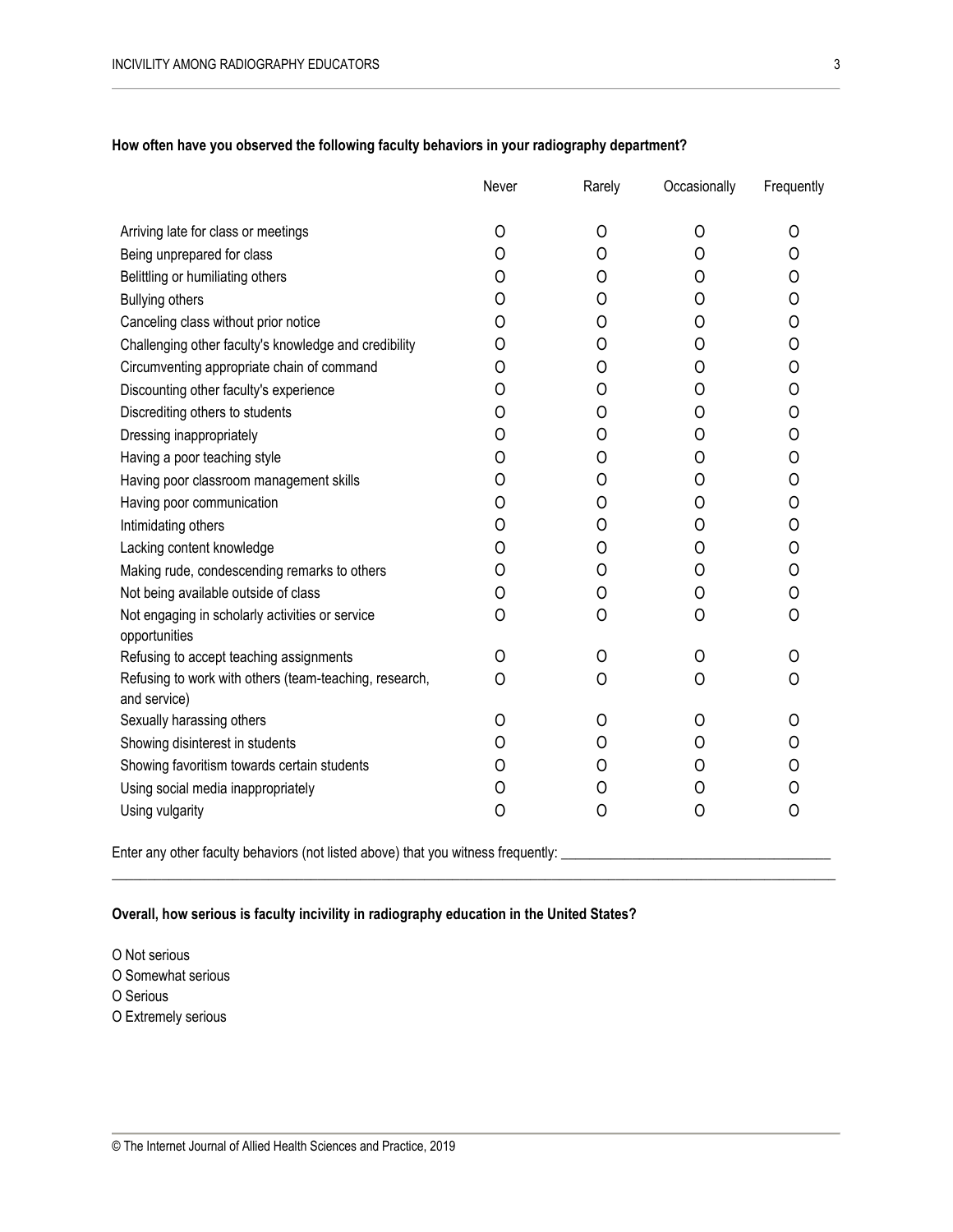|                                                                  | Never | Rarely | Occasionally | Frequently |
|------------------------------------------------------------------|-------|--------|--------------|------------|
| Arriving late for class or meetings                              | O     | 0      | 0            | O          |
| Being unprepared for class                                       | 0     | 0      | 0            | 0          |
| Belittling or humiliating others                                 | O     | Ω      | Ω            | O          |
| <b>Bullying others</b>                                           | O     | O      | 0            | 0          |
| Canceling class without prior notice                             | O     | O      | O            | 0          |
| Challenging other faculty's knowledge and credibility            | O     | 0      | O            | 0          |
| Circumventing appropriate chain of command                       | O     | 0      | 0            | 0          |
| Discounting other faculty's experience                           | O     | O      | O            | 0          |
| Discrediting others to students                                  | O     | 0      | O            | O          |
| Dressing inappropriately                                         | 0     | 0      | 0            | 0          |
| Having a poor teaching style                                     | 0     | 0      | 0            | 0          |
| Having poor classroom management skills                          | O     | Ω      | O            | 0          |
| Having poor communication                                        | 0     | 0      | 0            | 0          |
| Intimidating others                                              | 0     | 0      | 0            | 0          |
| Lacking content knowledge                                        | O     | Ω      | Ω            | 0          |
| Making rude, condescending remarks to others                     | O     | 0      | 0            | 0          |
| Not being available outside of class                             | 0     | 0      | 0            | 0          |
| Not engaging in scholarly activities or service<br>opportunities | 0     | 0      | 0            | 0          |
| Refusing to accept teaching assignments                          | O     | 0      | O            | Ω          |
| Refusing to work with others (team-teaching, research,           | O     | 0      | 0            | 0          |
| and service)                                                     |       |        |              |            |
| Sexually harassing others                                        | O     | O      | Ω            | O          |
| Showing disinterest in students                                  | O     | 0      | O            | 0          |
| Showing favoritism towards certain students                      | O     | Ω      | Ω            | 0          |
| Using social media inappropriately                               | 0     | Ω      | O            | 0          |
| Using vulgarity                                                  | 0     | 0      | 0            | 0          |

 $\mathcal{L}_\mathcal{L} = \{ \mathcal{L}_\mathcal{L} = \{ \mathcal{L}_\mathcal{L} = \{ \mathcal{L}_\mathcal{L} = \{ \mathcal{L}_\mathcal{L} = \{ \mathcal{L}_\mathcal{L} = \{ \mathcal{L}_\mathcal{L} = \{ \mathcal{L}_\mathcal{L} = \{ \mathcal{L}_\mathcal{L} = \{ \mathcal{L}_\mathcal{L} = \{ \mathcal{L}_\mathcal{L} = \{ \mathcal{L}_\mathcal{L} = \{ \mathcal{L}_\mathcal{L} = \{ \mathcal{L}_\mathcal{L} = \{ \mathcal{L}_\mathcal{$ 

**How often have you observed the following faculty behaviors in your radiography department?**

Enter any other faculty behaviors (not listed above) that you witness frequently: \_\_\_\_\_\_\_\_\_\_\_\_\_\_\_\_\_\_\_\_\_\_\_\_\_\_\_\_

## **Overall, how serious is faculty incivility in radiography education in the United States?**

O Not serious O Somewhat serious O Serious O Extremely serious